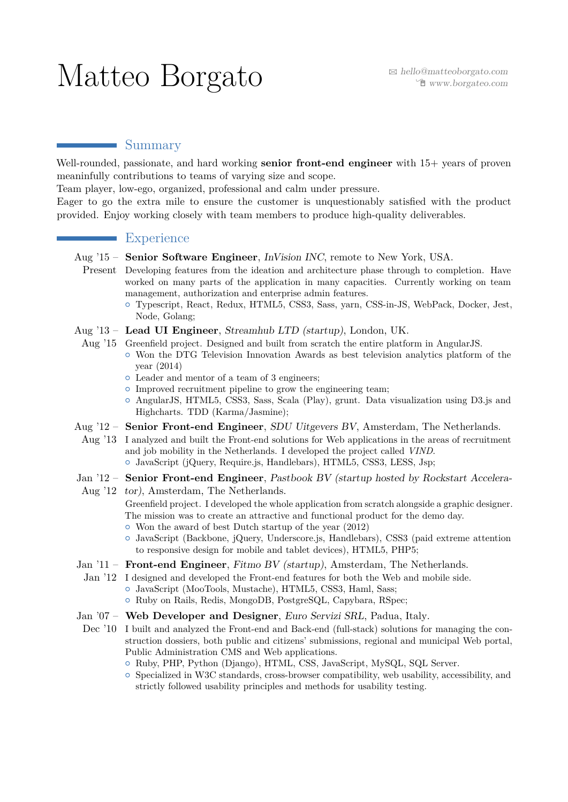# $\operatorname{Mat}$ teo  $\operatorname{Borgato}$   $\qquad$   $\qquad$   $\blacksquare$   $\textit{hello@matteoborgato.com}$

## Summary

Well-rounded, passionate, and hard working **senior front-end engineer** with 15+ years of proven meaninfully contributions to teams of varying size and scope.

Team player, low-ego, organized, professional and calm under pressure.

Eager to go the extra mile to ensure the customer is unquestionably satisfied with the product provided. Enjoy working closely with team members to produce high-quality deliverables.

# **Experience**

- Aug '15 **Senior Software Engineer**, *InVision INC*, remote to New York, USA.
	- Present Developing features from the ideation and architecture phase through to completion. Have worked on many parts of the application in many capacities. Currently working on team management, authorization and enterprise admin features.
		- $\circ$  Typescript, React, Redux, HTML5, CSS3, Sass, yarn, CSS-in-JS, WebPack, Docker, Jest, Node, Golang;
- Aug '13 **Lead UI Engineer**, *Streamhub LTD (startup)*, London, UK.
	- Aug '15 Greenfield project. Designed and built from scratch the entire platform in AngularJS.  $\circ$  Won the DTG Television Innovation Awards as best television analytics platform of the year (2014)
		- { Leader and mentor of a team of 3 engineers;
		- $\circ$  Improved recruitment pipeline to grow the engineering team;
		- { AngularJS, HTML5, CSS3, Sass, Scala (Play), grunt. Data visualization using D3.js and Highcharts. TDD (Karma/Jasmine);
- Aug '12 **Senior Front-end Engineer**, *SDU Uitgevers BV*, Amsterdam, The Netherlands.
- Aug '13 I analyzed and built the Front-end solutions for Web applications in the areas of recruitment and job mobility in the Netherlands. I developed the project called *VIND*.  $\circ$  JavaScript (jQuery, Require.js, Handlebars), HTML5, CSS3, LESS, Jsp;
- Jan '12 **Senior Front-end Engineer**, *Pastbook BV (startup hosted by Rockstart Accelera-*
- Aug '12 *tor)*, Amsterdam, The Netherlands.
	- Greenfield project. I developed the whole application from scratch alongside a graphic designer. The mission was to create an attractive and functional product for the demo day.
	- { Won the award of best Dutch startup of the year (2012)
	- { JavaScript (Backbone, jQuery, Underscore.js, Handlebars), CSS3 (paid extreme attention to responsive design for mobile and tablet devices), HTML5, PHP5;
- Jan '11 **Front-end Engineer**, *Fitmo BV (startup)*, Amsterdam, The Netherlands.
- Jan '12 I designed and developed the Front-end features for both the Web and mobile side. { JavaScript (MooTools, Mustache), HTML5, CSS3, Haml, Sass;  $\circ$  Ruby on Rails, Redis, MongoDB, PostgreSQL, Capybara, RSpec;
- Jan '07 **Web Developer and Designer**, *Euro Servizi SRL*, Padua, Italy.
- Dec '10 I built and analyzed the Front-end and Back-end (full-stack) solutions for managing the construction dossiers, both public and citizens' submissions, regional and municipal Web portal, Public Administration CMS and Web applications.
	- { Ruby, PHP, Python (Django), HTML, CSS, JavaScript, MySQL, SQL Server.
	- $\circ$  Specialized in W3C standards, cross-browser compatibility, web usability, accessibility, and strictly followed usability principles and methods for usability testing.